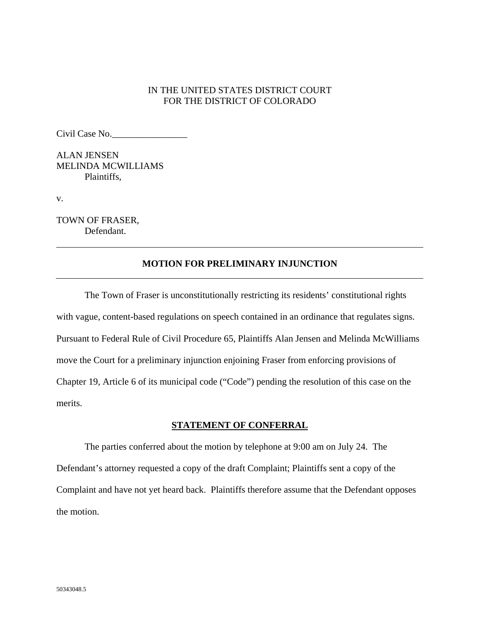## IN THE UNITED STATES DISTRICT COURT FOR THE DISTRICT OF COLORADO

Civil Case No.\_\_\_\_\_\_\_\_\_\_\_\_\_\_\_\_

ALAN JENSEN MELINDA MCWILLIAMS Plaintiffs,

v.

TOWN OF FRASER, Defendant.

## **MOTION FOR PRELIMINARY INJUNCTION**

The Town of Fraser is unconstitutionally restricting its residents' constitutional rights with vague, content-based regulations on speech contained in an ordinance that regulates signs. Pursuant to Federal Rule of Civil Procedure 65, Plaintiffs Alan Jensen and Melinda McWilliams move the Court for a preliminary injunction enjoining Fraser from enforcing provisions of Chapter 19, Article 6 of its municipal code ("Code") pending the resolution of this case on the merits.

### **STATEMENT OF CONFERRAL**

The parties conferred about the motion by telephone at 9:00 am on July 24. The Defendant's attorney requested a copy of the draft Complaint; Plaintiffs sent a copy of the Complaint and have not yet heard back. Plaintiffs therefore assume that the Defendant opposes the motion.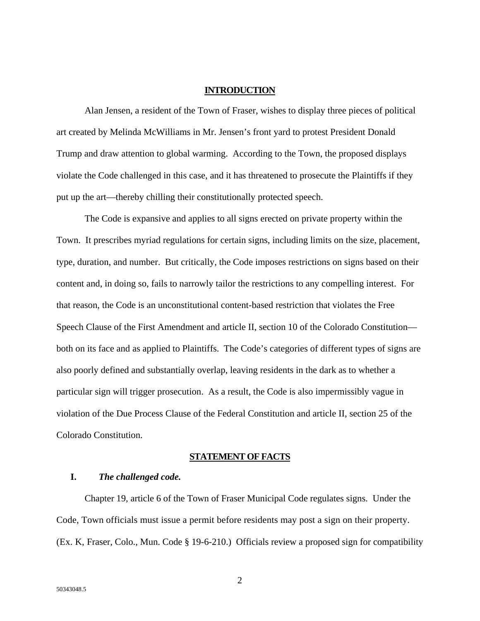### **INTRODUCTION**

Alan Jensen, a resident of the Town of Fraser, wishes to display three pieces of political art created by Melinda McWilliams in Mr. Jensen's front yard to protest President Donald Trump and draw attention to global warming. According to the Town, the proposed displays violate the Code challenged in this case, and it has threatened to prosecute the Plaintiffs if they put up the art—thereby chilling their constitutionally protected speech.

The Code is expansive and applies to all signs erected on private property within the Town. It prescribes myriad regulations for certain signs, including limits on the size, placement, type, duration, and number. But critically, the Code imposes restrictions on signs based on their content and, in doing so, fails to narrowly tailor the restrictions to any compelling interest. For that reason, the Code is an unconstitutional content-based restriction that violates the Free Speech Clause of the First Amendment and article II, section 10 of the Colorado Constitution both on its face and as applied to Plaintiffs. The Code's categories of different types of signs are also poorly defined and substantially overlap, leaving residents in the dark as to whether a particular sign will trigger prosecution. As a result, the Code is also impermissibly vague in violation of the Due Process Clause of the Federal Constitution and article II, section 25 of the Colorado Constitution.

### **STATEMENT OF FACTS**

### **I.** *The challenged code.*

 Chapter 19, article 6 of the Town of Fraser Municipal Code regulates signs. Under the Code, Town officials must issue a permit before residents may post a sign on their property. (Ex. K, Fraser, Colo., Mun. Code § 19-6-210.) Officials review a proposed sign for compatibility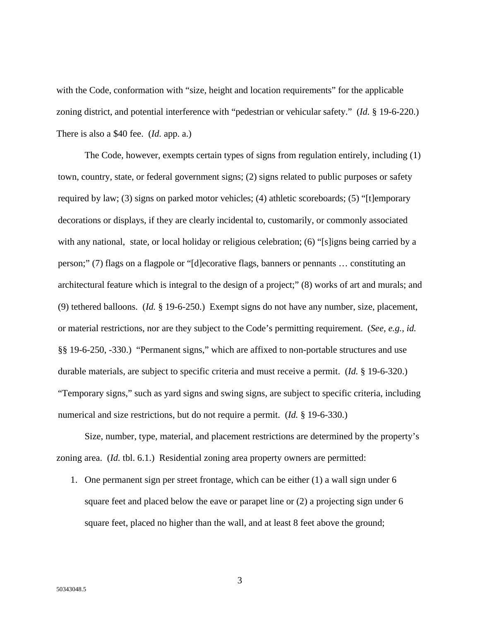with the Code, conformation with "size, height and location requirements" for the applicable zoning district, and potential interference with "pedestrian or vehicular safety." (*Id.* § 19-6-220.) There is also a \$40 fee. (*Id.* app. a.)

The Code, however, exempts certain types of signs from regulation entirely, including (1) town, country, state, or federal government signs; (2) signs related to public purposes or safety required by law; (3) signs on parked motor vehicles; (4) athletic scoreboards; (5) "[t]emporary decorations or displays, if they are clearly incidental to, customarily, or commonly associated with any national, state, or local holiday or religious celebration; (6) "[s]igns being carried by a person;" (7) flags on a flagpole or "[d]ecorative flags, banners or pennants … constituting an architectural feature which is integral to the design of a project;" (8) works of art and murals; and (9) tethered balloons. (*Id.* § 19-6-250.) Exempt signs do not have any number, size, placement, or material restrictions, nor are they subject to the Code's permitting requirement. (*See, e.g.*, *id.*  §§ 19-6-250, -330.) "Permanent signs," which are affixed to non-portable structures and use durable materials, are subject to specific criteria and must receive a permit. (*Id.* § 19-6-320.) "Temporary signs," such as yard signs and swing signs, are subject to specific criteria, including numerical and size restrictions, but do not require a permit. (*Id.* § 19-6-330.)

Size, number, type, material, and placement restrictions are determined by the property's zoning area. (*Id.* tbl. 6.1.) Residential zoning area property owners are permitted:

1. One permanent sign per street frontage, which can be either (1) a wall sign under 6 square feet and placed below the eave or parapet line or (2) a projecting sign under 6 square feet, placed no higher than the wall, and at least 8 feet above the ground;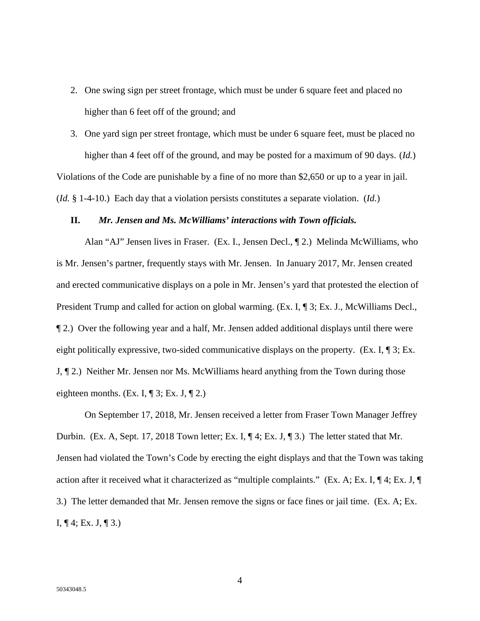2. One swing sign per street frontage, which must be under 6 square feet and placed no higher than 6 feet off of the ground; and

3. One yard sign per street frontage, which must be under 6 square feet, must be placed no higher than 4 feet off of the ground, and may be posted for a maximum of 90 days. (*Id.*) Violations of the Code are punishable by a fine of no more than \$2,650 or up to a year in jail. (*Id.* § 1-4-10.) Each day that a violation persists constitutes a separate violation. (*Id.*)

### **II.** *Mr. Jensen and Ms. McWilliams' interactions with Town officials.*

Alan "AJ" Jensen lives in Fraser. (Ex. I., Jensen Decl., ¶ 2.) Melinda McWilliams, who is Mr. Jensen's partner, frequently stays with Mr. Jensen. In January 2017, Mr. Jensen created and erected communicative displays on a pole in Mr. Jensen's yard that protested the election of President Trump and called for action on global warming. (Ex. I, ¶ 3; Ex. J., McWilliams Decl., ¶ 2.) Over the following year and a half, Mr. Jensen added additional displays until there were eight politically expressive, two-sided communicative displays on the property. (Ex. I, ¶ 3; Ex. J, ¶ 2.) Neither Mr. Jensen nor Ms. McWilliams heard anything from the Town during those eighteen months. (Ex. I,  $\P$  3; Ex. J,  $\P$  2.)

On September 17, 2018, Mr. Jensen received a letter from Fraser Town Manager Jeffrey Durbin. (Ex. A, Sept. 17, 2018 Town letter; Ex. I, ¶ 4; Ex. J, ¶ 3.) The letter stated that Mr. Jensen had violated the Town's Code by erecting the eight displays and that the Town was taking action after it received what it characterized as "multiple complaints." (Ex. A; Ex. I, ¶ 4; Ex. J, ¶ 3.) The letter demanded that Mr. Jensen remove the signs or face fines or jail time. (Ex. A; Ex. I,  $\P$  4; Ex. J,  $\P$  3.)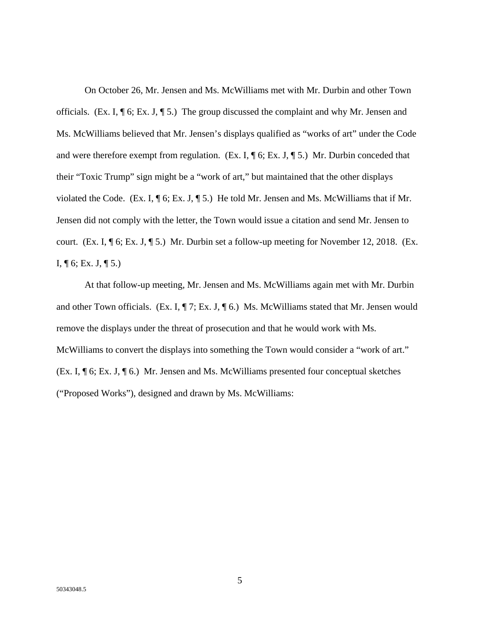On October 26, Mr. Jensen and Ms. McWilliams met with Mr. Durbin and other Town officials. (Ex. I, ¶ 6; Ex. J, ¶ 5.) The group discussed the complaint and why Mr. Jensen and Ms. McWilliams believed that Mr. Jensen's displays qualified as "works of art" under the Code and were therefore exempt from regulation. (Ex. I,  $\P$  6; Ex. J,  $\P$  5.) Mr. Durbin conceded that their "Toxic Trump" sign might be a "work of art," but maintained that the other displays violated the Code. (Ex. I, ¶ 6; Ex. J, ¶ 5.) He told Mr. Jensen and Ms. McWilliams that if Mr. Jensen did not comply with the letter, the Town would issue a citation and send Mr. Jensen to court. (Ex. I, ¶ 6; Ex. J, ¶ 5.) Mr. Durbin set a follow-up meeting for November 12, 2018. (Ex. I,  $\P$  6; Ex. J,  $\P$  5.)

At that follow-up meeting, Mr. Jensen and Ms. McWilliams again met with Mr. Durbin and other Town officials. (Ex. I,  $\P$  7; Ex. J,  $\P$  6.) Ms. McWilliams stated that Mr. Jensen would remove the displays under the threat of prosecution and that he would work with Ms. McWilliams to convert the displays into something the Town would consider a "work of art." (Ex. I, ¶ 6; Ex. J, ¶ 6.) Mr. Jensen and Ms. McWilliams presented four conceptual sketches ("Proposed Works"), designed and drawn by Ms. McWilliams: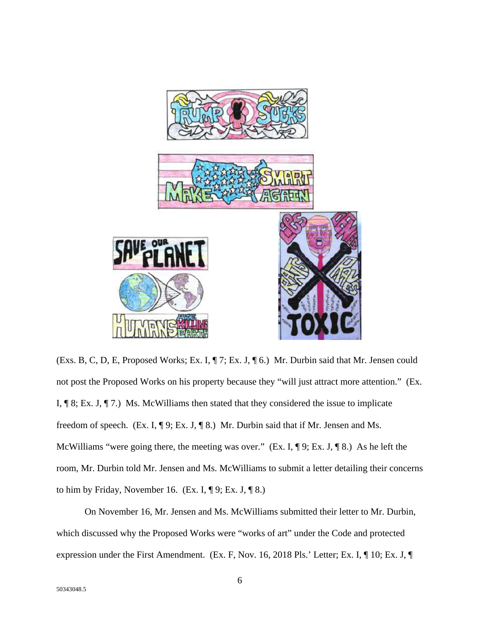

(Exs. B, C, D, E, Proposed Works; Ex. I, ¶ 7; Ex. J, ¶ 6.) Mr. Durbin said that Mr. Jensen could not post the Proposed Works on his property because they "will just attract more attention." (Ex. I,  $\P$  8; Ex. J,  $\P$  7.) Ms. McWilliams then stated that they considered the issue to implicate freedom of speech. (Ex. I, ¶ 9; Ex. J, ¶ 8.) Mr. Durbin said that if Mr. Jensen and Ms. McWilliams "were going there, the meeting was over." (Ex. I, ¶ 9; Ex. J, ¶ 8.) As he left the room, Mr. Durbin told Mr. Jensen and Ms. McWilliams to submit a letter detailing their concerns to him by Friday, November 16. (Ex. I,  $\P$ 9; Ex. J,  $\P$ 8.)

On November 16, Mr. Jensen and Ms. McWilliams submitted their letter to Mr. Durbin, which discussed why the Proposed Works were "works of art" under the Code and protected expression under the First Amendment. (Ex. F, Nov. 16, 2018 Pls.' Letter; Ex. I, ¶ 10; Ex. J, ¶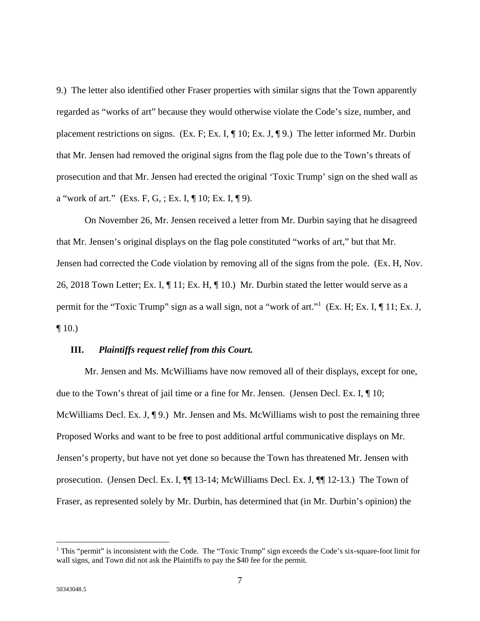9.) The letter also identified other Fraser properties with similar signs that the Town apparently regarded as "works of art" because they would otherwise violate the Code's size, number, and placement restrictions on signs. (Ex. F; Ex. I, ¶ 10; Ex. J, ¶ 9.) The letter informed Mr. Durbin that Mr. Jensen had removed the original signs from the flag pole due to the Town's threats of prosecution and that Mr. Jensen had erected the original 'Toxic Trump' sign on the shed wall as a "work of art." (Exs. F, G, ; Ex. I,  $\P$  10; Ex. I,  $\P$  9).

On November 26, Mr. Jensen received a letter from Mr. Durbin saying that he disagreed that Mr. Jensen's original displays on the flag pole constituted "works of art," but that Mr. Jensen had corrected the Code violation by removing all of the signs from the pole. (Ex. H, Nov. 26, 2018 Town Letter; Ex. I,  $\P$  11; Ex. H,  $\P$  10.) Mr. Durbin stated the letter would serve as a permit for the "Toxic Trump" sign as a wall sign, not a "work of art."<sup>1</sup> (Ex. H; Ex. I, 11; Ex. J,  $\P$  10.)

### **III.** *Plaintiffs request relief from this Court.*

Mr. Jensen and Ms. McWilliams have now removed all of their displays, except for one, due to the Town's threat of jail time or a fine for Mr. Jensen. (Jensen Decl. Ex. I, ¶ 10; McWilliams Decl. Ex. J, ¶ 9.) Mr. Jensen and Ms. McWilliams wish to post the remaining three Proposed Works and want to be free to post additional artful communicative displays on Mr. Jensen's property, but have not yet done so because the Town has threatened Mr. Jensen with prosecution. (Jensen Decl. Ex. I, ¶¶ 13-14; McWilliams Decl. Ex. J, ¶¶ 12-13.) The Town of Fraser, as represented solely by Mr. Durbin, has determined that (in Mr. Durbin's opinion) the

 $\overline{a}$ 

<sup>&</sup>lt;sup>1</sup> This "permit" is inconsistent with the Code. The "Toxic Trump" sign exceeds the Code's six-square-foot limit for wall signs, and Town did not ask the Plaintiffs to pay the \$40 fee for the permit.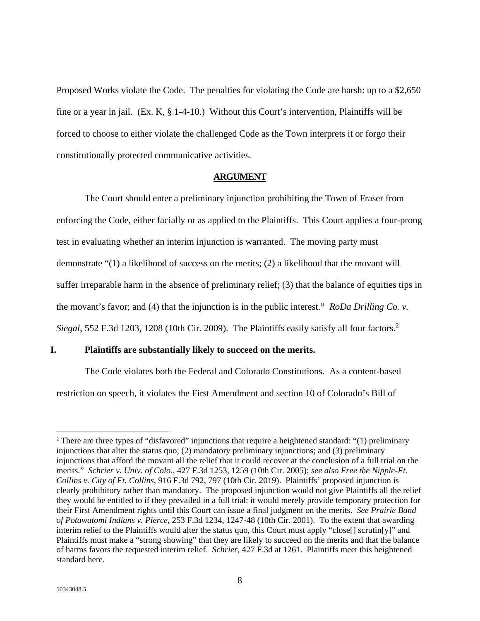Proposed Works violate the Code. The penalties for violating the Code are harsh: up to a \$2,650 fine or a year in jail. (Ex. K, § 1-4-10.) Without this Court's intervention, Plaintiffs will be forced to choose to either violate the challenged Code as the Town interprets it or forgo their constitutionally protected communicative activities.

### **ARGUMENT**

 The Court should enter a preliminary injunction prohibiting the Town of Fraser from enforcing the Code, either facially or as applied to the Plaintiffs. This Court applies a four-prong test in evaluating whether an interim injunction is warranted. The moving party must demonstrate "(1) a likelihood of success on the merits; (2) a likelihood that the movant will suffer irreparable harm in the absence of preliminary relief; (3) that the balance of equities tips in the movant's favor; and (4) that the injunction is in the public interest." *RoDa Drilling Co. v. Siegal*, 552 F.3d 1203, 1208 (10th Cir. 2009). The Plaintiffs easily satisfy all four factors.<sup>2</sup>

### **I. Plaintiffs are substantially likely to succeed on the merits.**

The Code violates both the Federal and Colorado Constitutions. As a content-based restriction on speech, it violates the First Amendment and section 10 of Colorado's Bill of

 $\overline{a}$ 

<sup>2</sup> There are three types of "disfavored" injunctions that require a heightened standard: "(1) preliminary injunctions that alter the status quo; (2) mandatory preliminary injunctions; and (3) preliminary injunctions that afford the movant all the relief that it could recover at the conclusion of a full trial on the merits." *Schrier v. Univ. of Colo.*, 427 F.3d 1253, 1259 (10th Cir. 2005); *see also Free the Nipple-Ft. Collins v. City of Ft. Collins*, 916 F.3d 792, 797 (10th Cir. 2019). Plaintiffs' proposed injunction is clearly prohibitory rather than mandatory. The proposed injunction would not give Plaintiffs all the relief they would be entitled to if they prevailed in a full trial: it would merely provide temporary protection for their First Amendment rights until this Court can issue a final judgment on the merits. *See Prairie Band of Potawatomi Indians v. Pierce*, 253 F.3d 1234, 1247-48 (10th Cir. 2001). To the extent that awarding interim relief to the Plaintiffs would alter the status quo, this Court must apply "close[] scrutin[y]" and Plaintiffs must make a "strong showing" that they are likely to succeed on the merits and that the balance of harms favors the requested interim relief. *Schrier*, 427 F.3d at 1261. Plaintiffs meet this heightened standard here.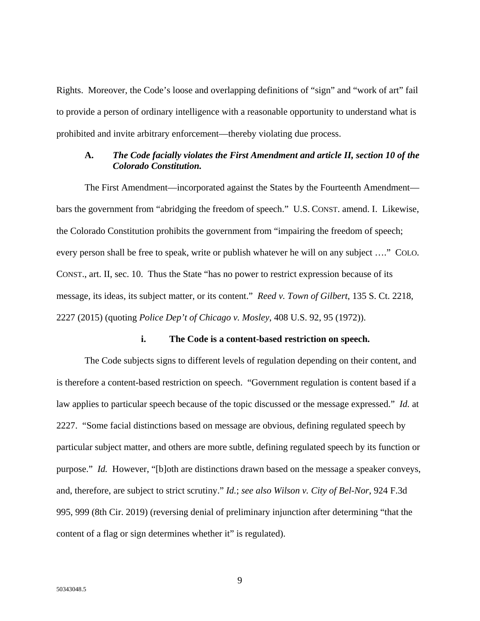Rights. Moreover, the Code's loose and overlapping definitions of "sign" and "work of art" fail to provide a person of ordinary intelligence with a reasonable opportunity to understand what is prohibited and invite arbitrary enforcement—thereby violating due process.

## **A.** *The Code facially violates the First Amendment and article II, section 10 of the Colorado Constitution.*

The First Amendment—incorporated against the States by the Fourteenth Amendment bars the government from "abridging the freedom of speech." U.S. CONST. amend. I. Likewise, the Colorado Constitution prohibits the government from "impairing the freedom of speech; every person shall be free to speak, write or publish whatever he will on any subject …." COLO. CONST., art. II, sec. 10. Thus the State "has no power to restrict expression because of its message, its ideas, its subject matter, or its content." *Reed v. Town of Gilbert*, 135 S. Ct. 2218, 2227 (2015) (quoting *Police Dep't of Chicago v. Mosley*, 408 U.S. 92, 95 (1972)).

### **i. The Code is a content-based restriction on speech.**

The Code subjects signs to different levels of regulation depending on their content, and is therefore a content-based restriction on speech. "Government regulation is content based if a law applies to particular speech because of the topic discussed or the message expressed." *Id.* at 2227. "Some facial distinctions based on message are obvious, defining regulated speech by particular subject matter, and others are more subtle, defining regulated speech by its function or purpose." *Id.* However, "[b]oth are distinctions drawn based on the message a speaker conveys, and, therefore, are subject to strict scrutiny." *Id.*; *see also Wilson v. City of Bel-Nor*, 924 F.3d 995, 999 (8th Cir. 2019) (reversing denial of preliminary injunction after determining "that the content of a flag or sign determines whether it" is regulated).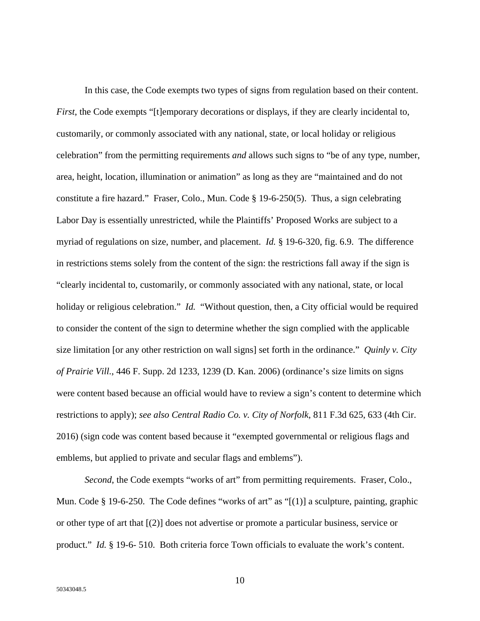In this case, the Code exempts two types of signs from regulation based on their content. *First*, the Code exempts "[t]emporary decorations or displays, if they are clearly incidental to, customarily, or commonly associated with any national, state, or local holiday or religious celebration" from the permitting requirements *and* allows such signs to "be of any type, number, area, height, location, illumination or animation" as long as they are "maintained and do not constitute a fire hazard." Fraser, Colo., Mun. Code § 19-6-250(5). Thus, a sign celebrating Labor Day is essentially unrestricted, while the Plaintiffs' Proposed Works are subject to a myriad of regulations on size, number, and placement. *Id.* § 19-6-320, fig. 6.9. The difference in restrictions stems solely from the content of the sign: the restrictions fall away if the sign is "clearly incidental to, customarily, or commonly associated with any national, state, or local holiday or religious celebration." *Id.* "Without question, then, a City official would be required to consider the content of the sign to determine whether the sign complied with the applicable size limitation [or any other restriction on wall signs] set forth in the ordinance." *Quinly v. City of Prairie Vill.*, 446 F. Supp. 2d 1233, 1239 (D. Kan. 2006) (ordinance's size limits on signs were content based because an official would have to review a sign's content to determine which restrictions to apply); *see also Central Radio Co. v. City of Norfolk*, 811 F.3d 625, 633 (4th Cir. 2016) (sign code was content based because it "exempted governmental or religious flags and emblems, but applied to private and secular flags and emblems").

*Second*, the Code exempts "works of art" from permitting requirements. Fraser, Colo., Mun. Code § 19-6-250. The Code defines "works of art" as "[(1)] a sculpture, painting, graphic or other type of art that [(2)] does not advertise or promote a particular business, service or product." *Id.* § 19-6- 510. Both criteria force Town officials to evaluate the work's content.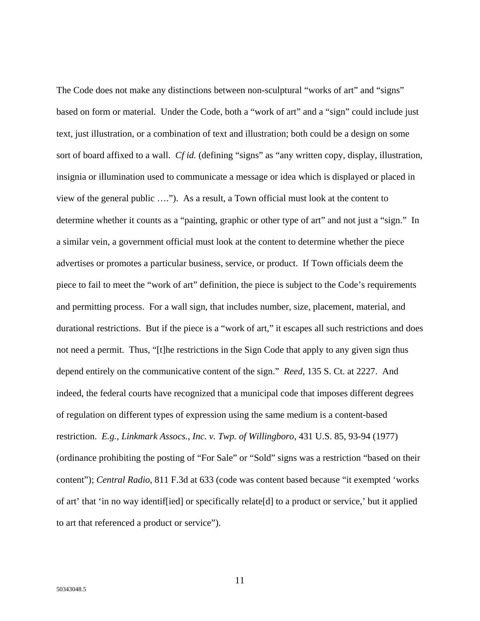The Code does not make any distinctions between non-sculptural "works of art" and "signs" based on form or material. Under the Code, both a "work of art" and a "sign" could include just text, just illustration, or a combination of text and illustration; both could be a design on some sort of board affixed to a wall. *Cf id.* (defining "signs" as "any written copy, display, illustration, insignia or illumination used to communicate a message or idea which is displayed or placed in view of the general public …."). As a result, a Town official must look at the content to determine whether it counts as a "painting, graphic or other type of art" and not just a "sign." In a similar vein, a government official must look at the content to determine whether the piece advertises or promotes a particular business, service, or product. If Town officials deem the piece to fail to meet the "work of art" definition, the piece is subject to the Code's requirements and permitting process. For a wall sign, that includes number, size, placement, material, and durational restrictions. But if the piece is a "work of art," it escapes all such restrictions and does not need a permit. Thus, "[t]he restrictions in the Sign Code that apply to any given sign thus depend entirely on the communicative content of the sign." *Reed*, 135 S. Ct. at 2227. And indeed, the federal courts have recognized that a municipal code that imposes different degrees of regulation on different types of expression using the same medium is a content-based restriction. *E.g.*, *Linkmark Assocs., Inc. v. Twp. of Willingboro*, 431 U.S. 85, 93-94 (1977) (ordinance prohibiting the posting of "For Sale" or "Sold" signs was a restriction "based on their content"); *Central Radio*, 811 F.3d at 633 (code was content based because "it exempted 'works of art' that 'in no way identif[ied] or specifically relate[d] to a product or service,' but it applied to art that referenced a product or service").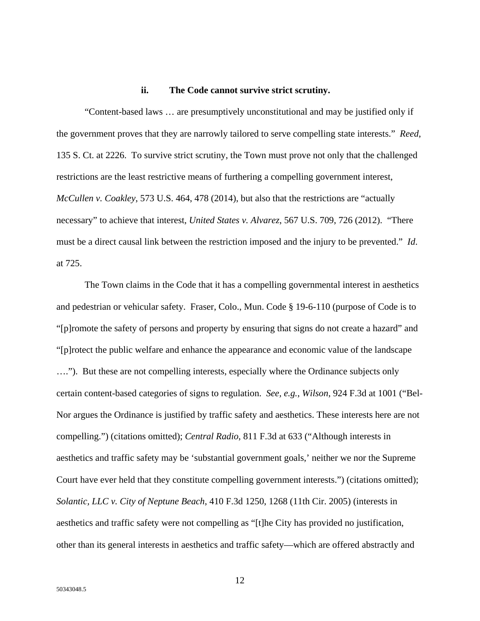### **ii. The Code cannot survive strict scrutiny.**

"Content-based laws … are presumptively unconstitutional and may be justified only if the government proves that they are narrowly tailored to serve compelling state interests." *Reed*, 135 S. Ct. at 2226. To survive strict scrutiny, the Town must prove not only that the challenged restrictions are the least restrictive means of furthering a compelling government interest, *McCullen v. Coakley*, 573 U.S. 464, 478 (2014), but also that the restrictions are "actually necessary" to achieve that interest, *United States v. Alvarez*, 567 U.S. 709, 726 (2012). "There must be a direct causal link between the restriction imposed and the injury to be prevented." *Id*. at 725.

The Town claims in the Code that it has a compelling governmental interest in aesthetics and pedestrian or vehicular safety. Fraser, Colo., Mun. Code § 19-6-110 (purpose of Code is to "[p]romote the safety of persons and property by ensuring that signs do not create a hazard" and "[p]rotect the public welfare and enhance the appearance and economic value of the landscape …."). But these are not compelling interests, especially where the Ordinance subjects only certain content-based categories of signs to regulation. *See, e.g.*, *Wilson*, 924 F.3d at 1001 ("Bel-Nor argues the Ordinance is justified by traffic safety and aesthetics. These interests here are not compelling.") (citations omitted); *Central Radio*, 811 F.3d at 633 ("Although interests in aesthetics and traffic safety may be 'substantial government goals,' neither we nor the Supreme Court have ever held that they constitute compelling government interests.") (citations omitted); *Solantic, LLC v. City of Neptune Beach*, 410 F.3d 1250, 1268 (11th Cir. 2005) (interests in aesthetics and traffic safety were not compelling as "[t]he City has provided no justification, other than its general interests in aesthetics and traffic safety—which are offered abstractly and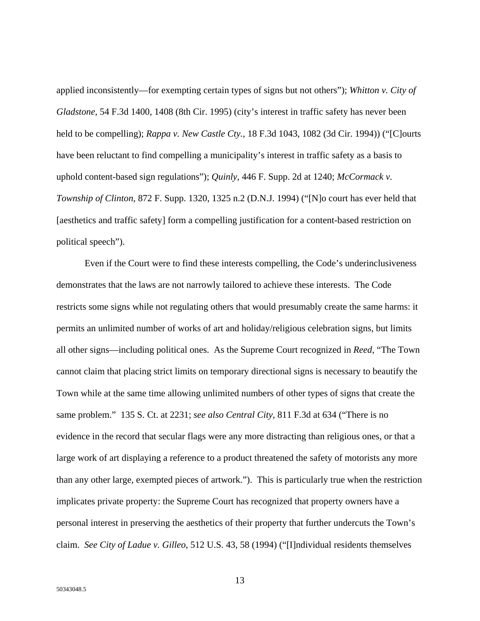applied inconsistently—for exempting certain types of signs but not others"); *Whitton v. City of Gladstone*, 54 F.3d 1400, 1408 (8th Cir. 1995) (city's interest in traffic safety has never been held to be compelling); *Rappa v. New Castle Cty.*, 18 F.3d 1043, 1082 (3d Cir. 1994)) ("[C]ourts have been reluctant to find compelling a municipality's interest in traffic safety as a basis to uphold content-based sign regulations"); *Quinly*, 446 F. Supp. 2d at 1240; *McCormack v. Township of Clinton*, 872 F. Supp. 1320, 1325 n.2 (D.N.J. 1994) ("[N]o court has ever held that [aesthetics and traffic safety] form a compelling justification for a content-based restriction on political speech").

Even if the Court were to find these interests compelling, the Code's underinclusiveness demonstrates that the laws are not narrowly tailored to achieve these interests. The Code restricts some signs while not regulating others that would presumably create the same harms: it permits an unlimited number of works of art and holiday/religious celebration signs, but limits all other signs—including political ones. As the Supreme Court recognized in *Reed*, "The Town cannot claim that placing strict limits on temporary directional signs is necessary to beautify the Town while at the same time allowing unlimited numbers of other types of signs that create the same problem." 135 S. Ct. at 2231; *see also Central City*, 811 F.3d at 634 ("There is no evidence in the record that secular flags were any more distracting than religious ones, or that a large work of art displaying a reference to a product threatened the safety of motorists any more than any other large, exempted pieces of artwork."). This is particularly true when the restriction implicates private property: the Supreme Court has recognized that property owners have a personal interest in preserving the aesthetics of their property that further undercuts the Town's claim. *See City of Ladue v. Gilleo*, 512 U.S. 43, 58 (1994) ("[I]ndividual residents themselves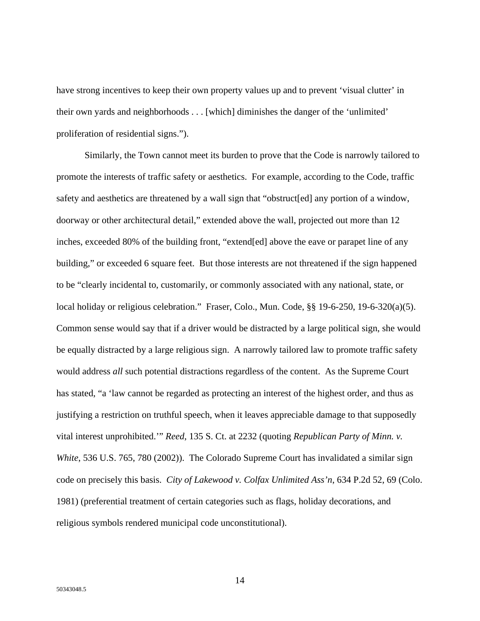have strong incentives to keep their own property values up and to prevent 'visual clutter' in their own yards and neighborhoods . . . [which] diminishes the danger of the 'unlimited' proliferation of residential signs.").

Similarly, the Town cannot meet its burden to prove that the Code is narrowly tailored to promote the interests of traffic safety or aesthetics. For example, according to the Code, traffic safety and aesthetics are threatened by a wall sign that "obstruct[ed] any portion of a window, doorway or other architectural detail," extended above the wall, projected out more than 12 inches, exceeded 80% of the building front, "extend[ed] above the eave or parapet line of any building," or exceeded 6 square feet. But those interests are not threatened if the sign happened to be "clearly incidental to, customarily, or commonly associated with any national, state, or local holiday or religious celebration." Fraser, Colo., Mun. Code, §§ 19-6-250, 19-6-320(a)(5). Common sense would say that if a driver would be distracted by a large political sign, she would be equally distracted by a large religious sign. A narrowly tailored law to promote traffic safety would address *all* such potential distractions regardless of the content. As the Supreme Court has stated, "a 'law cannot be regarded as protecting an interest of the highest order, and thus as justifying a restriction on truthful speech, when it leaves appreciable damage to that supposedly vital interest unprohibited.'" *Reed*, 135 S. Ct. at 2232 (quoting *Republican Party of Minn. v. White*, 536 U.S. 765, 780 (2002)). The Colorado Supreme Court has invalidated a similar sign code on precisely this basis. *City of Lakewood v. Colfax Unlimited Ass'n*, 634 P.2d 52, 69 (Colo. 1981) (preferential treatment of certain categories such as flags, holiday decorations, and religious symbols rendered municipal code unconstitutional).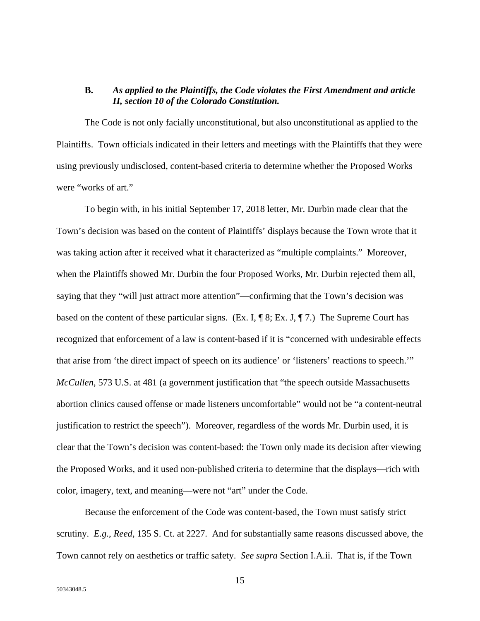### **B.** *As applied to the Plaintiffs, the Code violates the First Amendment and article II, section 10 of the Colorado Constitution.*

The Code is not only facially unconstitutional, but also unconstitutional as applied to the Plaintiffs. Town officials indicated in their letters and meetings with the Plaintiffs that they were using previously undisclosed, content-based criteria to determine whether the Proposed Works were "works of art."

To begin with, in his initial September 17, 2018 letter, Mr. Durbin made clear that the Town's decision was based on the content of Plaintiffs' displays because the Town wrote that it was taking action after it received what it characterized as "multiple complaints." Moreover, when the Plaintiffs showed Mr. Durbin the four Proposed Works, Mr. Durbin rejected them all, saying that they "will just attract more attention"—confirming that the Town's decision was based on the content of these particular signs. (Ex. I,  $\P$  8; Ex. J,  $\P$  7.) The Supreme Court has recognized that enforcement of a law is content-based if it is "concerned with undesirable effects that arise from 'the direct impact of speech on its audience' or 'listeners' reactions to speech.'" *McCullen*, 573 U.S. at 481 (a government justification that "the speech outside Massachusetts abortion clinics caused offense or made listeners uncomfortable" would not be "a content-neutral justification to restrict the speech"). Moreover, regardless of the words Mr. Durbin used, it is clear that the Town's decision was content-based: the Town only made its decision after viewing the Proposed Works, and it used non-published criteria to determine that the displays—rich with color, imagery, text, and meaning—were not "art" under the Code.

Because the enforcement of the Code was content-based, the Town must satisfy strict scrutiny. *E.g.*, *Reed*, 135 S. Ct. at 2227. And for substantially same reasons discussed above, the Town cannot rely on aesthetics or traffic safety. *See supra* Section I.A.ii. That is, if the Town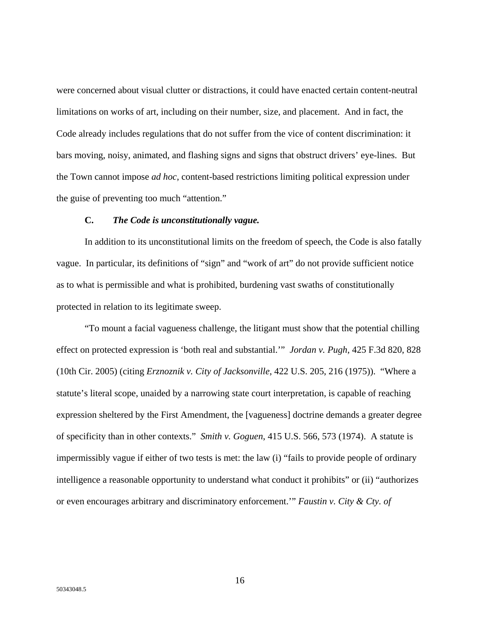were concerned about visual clutter or distractions, it could have enacted certain content-neutral limitations on works of art, including on their number, size, and placement. And in fact, the Code already includes regulations that do not suffer from the vice of content discrimination: it bars moving, noisy, animated, and flashing signs and signs that obstruct drivers' eye-lines. But the Town cannot impose *ad hoc*, content-based restrictions limiting political expression under the guise of preventing too much "attention."

### **C.** *The Code is unconstitutionally vague.*

In addition to its unconstitutional limits on the freedom of speech, the Code is also fatally vague. In particular, its definitions of "sign" and "work of art" do not provide sufficient notice as to what is permissible and what is prohibited, burdening vast swaths of constitutionally protected in relation to its legitimate sweep.

"To mount a facial vagueness challenge, the litigant must show that the potential chilling effect on protected expression is 'both real and substantial.'" *Jordan v. Pugh*, 425 F.3d 820, 828 (10th Cir. 2005) (citing *Erznoznik v. City of Jacksonville*, 422 U.S. 205, 216 (1975)). "Where a statute's literal scope, unaided by a narrowing state court interpretation, is capable of reaching expression sheltered by the First Amendment, the [vagueness] doctrine demands a greater degree of specificity than in other contexts." *Smith v. Goguen*, 415 U.S. 566, 573 (1974). A statute is impermissibly vague if either of two tests is met: the law (i) "fails to provide people of ordinary intelligence a reasonable opportunity to understand what conduct it prohibits" or (ii) "authorizes or even encourages arbitrary and discriminatory enforcement.'" *Faustin v. City & Cty. of*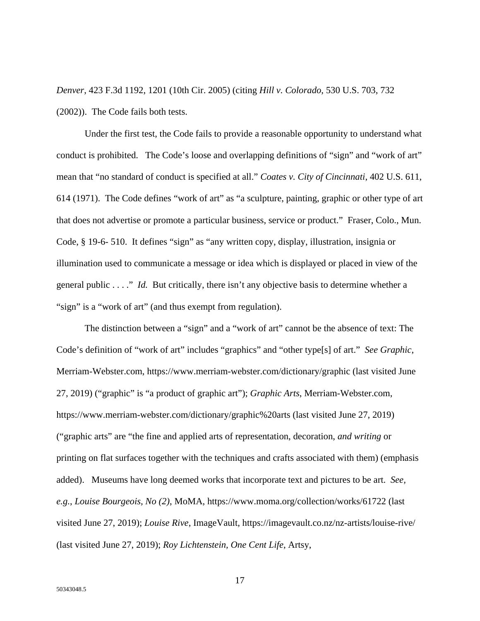*Denver*, 423 F.3d 1192, 1201 (10th Cir. 2005) (citing *Hill v. Colorado*, 530 U.S. 703, 732 (2002)). The Code fails both tests.

Under the first test, the Code fails to provide a reasonable opportunity to understand what conduct is prohibited. The Code's loose and overlapping definitions of "sign" and "work of art" mean that "no standard of conduct is specified at all." *Coates v. City of Cincinnati*, 402 U.S. 611, 614 (1971). The Code defines "work of art" as "a sculpture, painting, graphic or other type of art that does not advertise or promote a particular business, service or product." Fraser, Colo., Mun. Code, § 19-6- 510. It defines "sign" as "any written copy, display, illustration, insignia or illumination used to communicate a message or idea which is displayed or placed in view of the general public . . . ." *Id.* But critically, there isn't any objective basis to determine whether a "sign" is a "work of art" (and thus exempt from regulation).

The distinction between a "sign" and a "work of art" cannot be the absence of text: The Code's definition of "work of art" includes "graphics" and "other type[s] of art." *See Graphic*, Merriam-Webster.com, https://www.merriam-webster.com/dictionary/graphic (last visited June 27, 2019) ("graphic" is "a product of graphic art"); *Graphic Arts*, Merriam-Webster.com, https://www.merriam-webster.com/dictionary/graphic%20arts (last visited June 27, 2019) ("graphic arts" are "the fine and applied arts of representation, decoration, *and writing* or printing on flat surfaces together with the techniques and crafts associated with them) (emphasis added). Museums have long deemed works that incorporate text and pictures to be art. *See, e.g.*, *Louise Bourgeois, No (2)*, MoMA, https://www.moma.org/collection/works/61722 (last visited June 27, 2019); *Louise Rive*, ImageVault, https://imagevault.co.nz/nz-artists/louise-rive/ (last visited June 27, 2019); *Roy Lichtenstein, One Cent Life*, Artsy,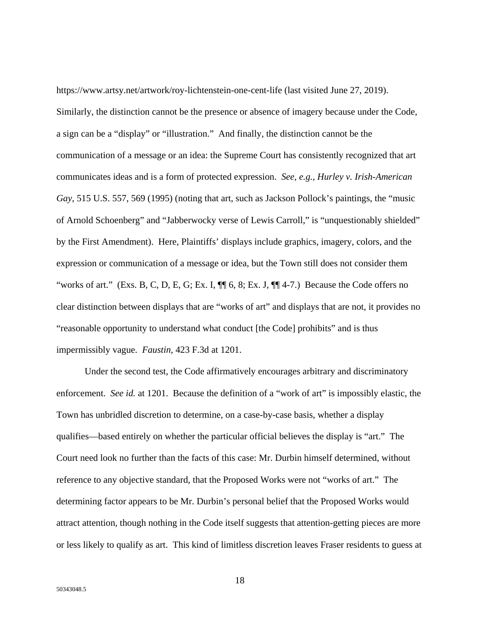https://www.artsy.net/artwork/roy-lichtenstein-one-cent-life (last visited June 27, 2019). Similarly, the distinction cannot be the presence or absence of imagery because under the Code, a sign can be a "display" or "illustration." And finally, the distinction cannot be the communication of a message or an idea: the Supreme Court has consistently recognized that art communicates ideas and is a form of protected expression. *See, e.g.*, *Hurley v. Irish-American Gay*, 515 U.S. 557, 569 (1995) (noting that art, such as Jackson Pollock's paintings, the "music of Arnold Schoenberg" and "Jabberwocky verse of Lewis Carroll," is "unquestionably shielded" by the First Amendment). Here, Plaintiffs' displays include graphics, imagery, colors, and the expression or communication of a message or idea, but the Town still does not consider them "works of art." (Exs. B, C, D, E, G; Ex. I, ¶¶ 6, 8; Ex. J, ¶¶ 4-7.) Because the Code offers no clear distinction between displays that are "works of art" and displays that are not, it provides no "reasonable opportunity to understand what conduct [the Code] prohibits" and is thus impermissibly vague. *Faustin*, 423 F.3d at 1201.

Under the second test, the Code affirmatively encourages arbitrary and discriminatory enforcement. *See id.* at 1201. Because the definition of a "work of art" is impossibly elastic, the Town has unbridled discretion to determine, on a case-by-case basis, whether a display qualifies—based entirely on whether the particular official believes the display is "art." The Court need look no further than the facts of this case: Mr. Durbin himself determined, without reference to any objective standard, that the Proposed Works were not "works of art." The determining factor appears to be Mr. Durbin's personal belief that the Proposed Works would attract attention, though nothing in the Code itself suggests that attention-getting pieces are more or less likely to qualify as art. This kind of limitless discretion leaves Fraser residents to guess at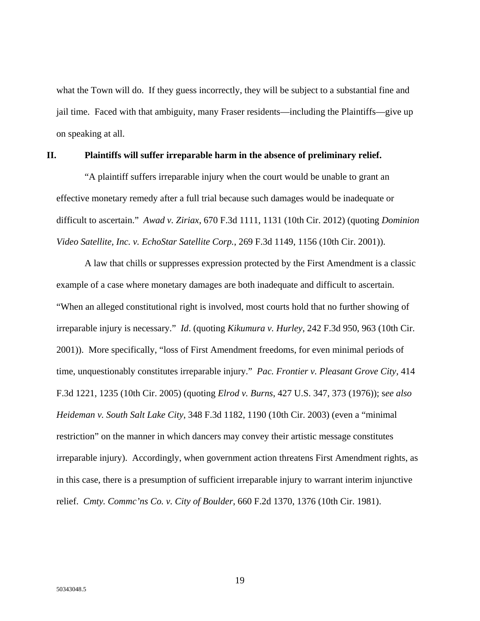what the Town will do. If they guess incorrectly, they will be subject to a substantial fine and jail time. Faced with that ambiguity, many Fraser residents—including the Plaintiffs—give up on speaking at all.

### **II. Plaintiffs will suffer irreparable harm in the absence of preliminary relief.**

"A plaintiff suffers irreparable injury when the court would be unable to grant an effective monetary remedy after a full trial because such damages would be inadequate or difficult to ascertain." *Awad v. Ziriax*, 670 F.3d 1111, 1131 (10th Cir. 2012) (quoting *Dominion Video Satellite, Inc. v. EchoStar Satellite Corp.*, 269 F.3d 1149, 1156 (10th Cir. 2001)).

A law that chills or suppresses expression protected by the First Amendment is a classic example of a case where monetary damages are both inadequate and difficult to ascertain. "When an alleged constitutional right is involved, most courts hold that no further showing of irreparable injury is necessary." *Id*. (quoting *Kikumura v. Hurley*, 242 F.3d 950, 963 (10th Cir. 2001)). More specifically, "loss of First Amendment freedoms, for even minimal periods of time, unquestionably constitutes irreparable injury." *Pac. Frontier v. Pleasant Grove City,* 414 F.3d 1221, 1235 (10th Cir. 2005) (quoting *Elrod v. Burns*, 427 U.S. 347, 373 (1976)); s*ee also Heideman v. South Salt Lake City*, 348 F.3d 1182, 1190 (10th Cir. 2003) (even a "minimal restriction" on the manner in which dancers may convey their artistic message constitutes irreparable injury). Accordingly, when government action threatens First Amendment rights, as in this case, there is a presumption of sufficient irreparable injury to warrant interim injunctive relief. *Cmty. Commc'ns Co. v. City of Boulder*, 660 F.2d 1370, 1376 (10th Cir. 1981).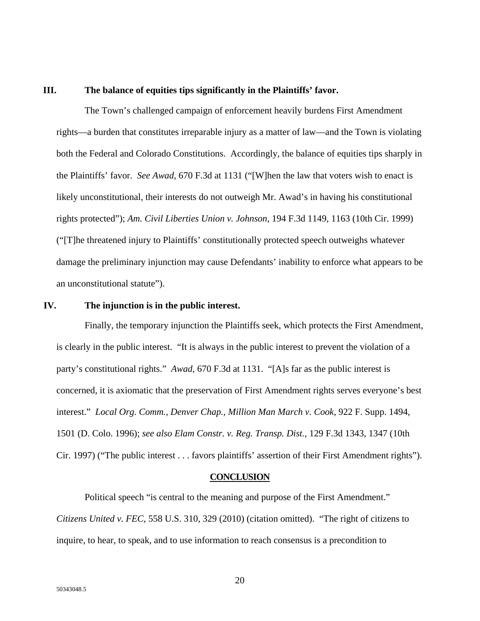### **III. The balance of equities tips significantly in the Plaintiffs' favor.**

The Town's challenged campaign of enforcement heavily burdens First Amendment rights—a burden that constitutes irreparable injury as a matter of law—and the Town is violating both the Federal and Colorado Constitutions. Accordingly, the balance of equities tips sharply in the Plaintiffs' favor. *See Awad*, 670 F.3d at 1131 ("[W]hen the law that voters wish to enact is likely unconstitutional, their interests do not outweigh Mr. Awad's in having his constitutional rights protected"); *Am. Civil Liberties Union v. Johnson*, 194 F.3d 1149, 1163 (10th Cir. 1999) ("[T]he threatened injury to Plaintiffs' constitutionally protected speech outweighs whatever damage the preliminary injunction may cause Defendants' inability to enforce what appears to be an unconstitutional statute").

#### **IV. The injunction is in the public interest.**

Finally, the temporary injunction the Plaintiffs seek, which protects the First Amendment, is clearly in the public interest. "It is always in the public interest to prevent the violation of a party's constitutional rights." *Awad*, 670 F.3d at 1131. "[A]s far as the public interest is concerned, it is axiomatic that the preservation of First Amendment rights serves everyone's best interest." *Local Org. Comm., Denver Chap., Million Man March v. Cook*, 922 F. Supp. 1494, 1501 (D. Colo. 1996); *see also Elam Constr. v. Reg. Transp. Dist.*, 129 F.3d 1343, 1347 (10th Cir. 1997) ("The public interest . . . favors plaintiffs' assertion of their First Amendment rights").

#### **CONCLUSION**

Political speech "is central to the meaning and purpose of the First Amendment." *Citizens United v. FEC*, 558 U.S. 310, 329 (2010) (citation omitted). "The right of citizens to inquire, to hear, to speak, and to use information to reach consensus is a precondition to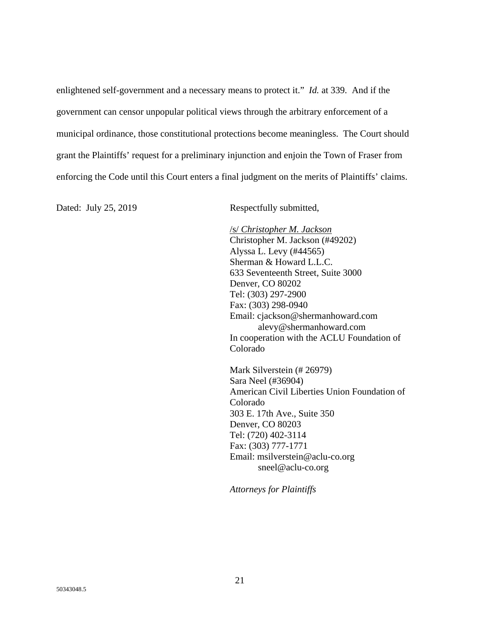enlightened self-government and a necessary means to protect it." *Id.* at 339. And if the government can censor unpopular political views through the arbitrary enforcement of a municipal ordinance, those constitutional protections become meaningless. The Court should grant the Plaintiffs' request for a preliminary injunction and enjoin the Town of Fraser from enforcing the Code until this Court enters a final judgment on the merits of Plaintiffs' claims.

Dated: July 25, 2019 Respectfully submitted,

 /s/ *Christopher M. Jackson* Christopher M. Jackson (#49202) Alyssa L. Levy (#44565) Sherman & Howard L.L.C. 633 Seventeenth Street, Suite 3000 Denver, CO 80202 Tel: (303) 297-2900 Fax: (303) 298-0940 Email: cjackson@shermanhoward.com alevy@shermanhoward.com In cooperation with the ACLU Foundation of Colorado

Mark Silverstein (# 26979) Sara Neel (#36904) American Civil Liberties Union Foundation of Colorado 303 E. 17th Ave., Suite 350 Denver, CO 80203 Tel: (720) 402-3114 Fax: (303) 777-1771 Email: msilverstein@aclu-co.org sneel@aclu-co.org

*Attorneys for Plaintiffs*